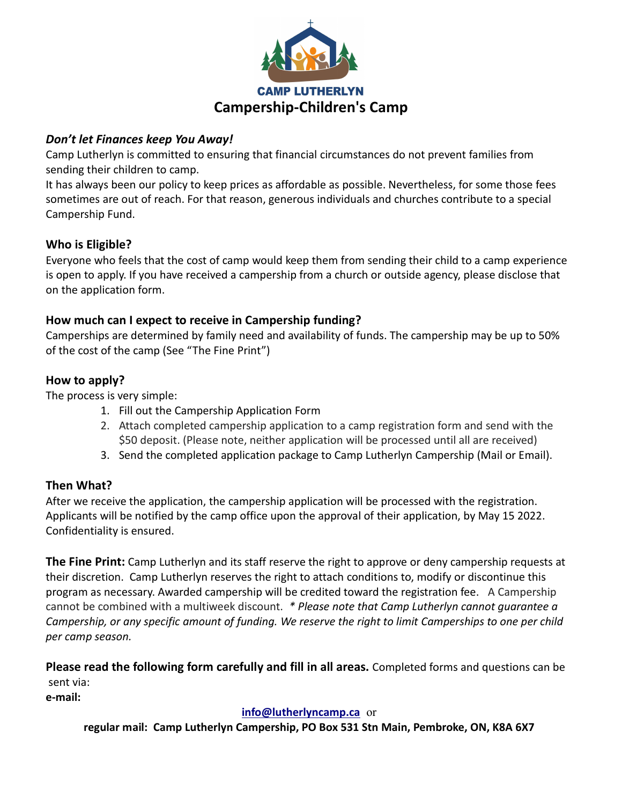

#### Don't let Finances keep You Away!

Camp Lutherlyn is committed to ensuring that financial circumstances do not prevent families from sending their children to camp.

It has always been our policy to keep prices as affordable as possible. Nevertheless, for some those fees sometimes are out of reach. For that reason, generous individuals and churches contribute to a special Campership Fund.

# Who is Eligible?

Everyone who feels that the cost of camp would keep them from sending their child to a camp experience is open to apply. If you have received a campership from a church or outside agency, please disclose that on the application form.

#### How much can I expect to receive in Campership funding?

Camperships are determined by family need and availability of funds. The campership may be up to 50% of the cost of the camp (See "The Fine Print")

# How to apply?

The process is very simple:

- 1. Fill out the Campership Application Form
- 2. Attach completed campership application to a camp registration form and send with the \$50 deposit. (Please note, neither application will be processed until all are received)
- 3. Send the completed application package to Camp Lutherlyn Campership (Mail or Email).

# Then What?

After we receive the application, the campership application will be processed with the registration. Applicants will be notified by the camp office upon the approval of their application, by May 15 2022. Confidentiality is ensured.

**The Fine Print:** Camp Lutherlyn and its staff reserve the right to approve or deny campership requests at their discretion. Camp Lutherlyn reserves the right to attach conditions to, modify or discontinue this program as necessary. Awarded campership will be credited toward the registration fee. A Campership cannot be combined with a multiweek discount. \* Please note that Camp Lutherlyn cannot guarantee a Campership, or any specific amount of funding. We reserve the right to limit Camperships to one per child per camp season.

Please read the following form carefully and fill in all areas. Completed forms and questions can be sent via:

e-mail:

#### info@lutherlyncamp.ca or

regular mail: Camp Lutherlyn Campership, PO Box 531 Stn Main, Pembroke, ON, K8A 6X7